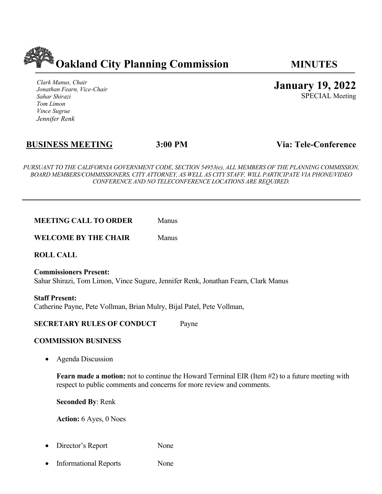

*Clark Manus, Chair Jonathan Fearn, Vice-Chair Sahar Shirazi Tom Limon Vince Sugrue Jennifer Renk*

**January 19, 2022**

SPECIAL Meeting

# **BUSINESS MEETING 3:00 PM Via: Tele-Conference**

*PURSUANT TO THE CALIFORNIA GOVERNMENT CODE, SECTION 54953(e), ALL MEMBERS OF THE PLANNING COMMISSION, BOARD MEMBERS/COMMISSIONERS, CITY ATTORNEY, AS WELL AS CITY STAFF, WILL PARTICIPATE VIA PHONE/VIDEO CONFERENCE AND NO TELECONFERENCE LOCATIONS ARE REQUIRED.*

**WELCOME BY THE CHAIR** Manus

**ROLL CALL**

**Commissioners Present:** Sahar Shirazi, Tom Limon, Vince Sugure, Jennifer Renk, Jonathan Fearn, Clark Manus

**Staff Present:** Catherine Payne, Pete Vollman, Brian Mulry, Bijal Patel, Pete Vollman,

## **SECRETARY RULES OF CONDUCT** Payne

#### **COMMISSION BUSINESS**

• Agenda Discussion

**Fearn made a motion:** not to continue the Howard Terminal EIR (Item #2) to a future meeting with respect to public comments and concerns for more review and comments.

**Seconded By**: Renk

**Action:** 6 Ayes, 0 Noes

- Director's Report None
- Informational Reports None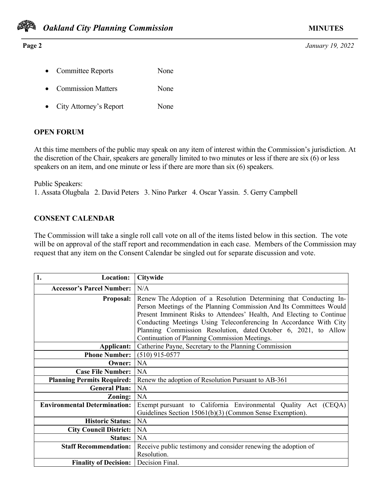

#### **Page 2** *January 19, 2022*

- Committee Reports None
- Commission Matters None
- City Attorney's Report None

## **OPEN FORUM**

At this time members of the public may speak on any item of interest within the Commission's jurisdiction. At the discretion of the Chair, speakers are generally limited to two minutes or less if there are six (6) or less speakers on an item, and one minute or less if there are more than six (6) speakers.

Public Speakers: 1. Assata Olugbala 2. David Peters 3. Nino Parker 4. Oscar Yassin. 5. Gerry Campbell

## **CONSENT CALENDAR**

The Commission will take a single roll call vote on all of the items listed below in this section. The vote will be on approval of the staff report and recommendation in each case. Members of the Commission may request that any item on the Consent Calendar be singled out for separate discussion and vote.

| 1.<br><b>Location:</b>              | <b>Citywide</b>                                                       |  |
|-------------------------------------|-----------------------------------------------------------------------|--|
| <b>Accessor's Parcel Number:</b>    | N/A                                                                   |  |
| <b>Proposal:</b>                    | Renew The Adoption of a Resolution Determining that Conducting In-    |  |
|                                     | Person Meetings of the Planning Commission And Its Committees Would   |  |
|                                     | Present Imminent Risks to Attendees' Health, And Electing to Continue |  |
|                                     | Conducting Meetings Using Teleconferencing In Accordance With City    |  |
|                                     | Planning Commission Resolution, dated October 6, 2021, to Allow       |  |
|                                     | Continuation of Planning Commission Meetings.                         |  |
| Applicant:                          | Catherine Payne, Secretary to the Planning Commission                 |  |
| <b>Phone Number:</b>                | $(510)$ 915-0577                                                      |  |
| Owner:                              | NA                                                                    |  |
| <b>Case File Number:</b>            | NA                                                                    |  |
| <b>Planning Permits Required:</b>   | Renew the adoption of Resolution Pursuant to AB-361                   |  |
| <b>General Plan:</b>                | <b>NA</b>                                                             |  |
| Zoning:                             | <b>NA</b>                                                             |  |
| <b>Environmental Determination:</b> | Exempt pursuant to California Environmental Quality Act (CEQA)        |  |
|                                     | Guidelines Section 15061(b)(3) (Common Sense Exemption).              |  |
| <b>Historic Status:</b>             | <b>NA</b>                                                             |  |
| <b>City Council District:</b>       | NA                                                                    |  |
| Status:                             | NA                                                                    |  |
| <b>Staff Recommendation:</b>        | Receive public testimony and consider renewing the adoption of        |  |
|                                     | Resolution.                                                           |  |
| <b>Finality of Decision:</b>        | Decision Final.                                                       |  |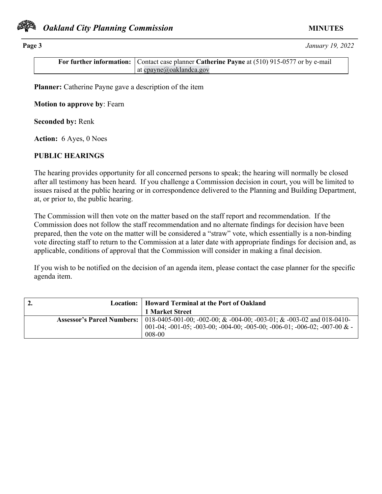

**Page 3** *January 19, 2022*

**For further information:** Contact case planner **Catherine Payne** at (510) 915-0577 or by e-mail at cpayne@oaklandca.gov

**Planner:** Catherine Payne gave a description of the item

**Motion to approve by**: Fearn

**Seconded by:** Renk

**Action:** 6 Ayes, 0 Noes

## **PUBLIC HEARINGS**

The hearing provides opportunity for all concerned persons to speak; the hearing will normally be closed after all testimony has been heard. If you challenge a Commission decision in court, you will be limited to issues raised at the public hearing or in correspondence delivered to the Planning and Building Department, at, or prior to, the public hearing.

The Commission will then vote on the matter based on the staff report and recommendation. If the Commission does not follow the staff recommendation and no alternate findings for decision have been prepared, then the vote on the matter will be considered a "straw" vote, which essentially is a non-binding vote directing staff to return to the Commission at a later date with appropriate findings for decision and, as applicable, conditions of approval that the Commission will consider in making a final decision.

If you wish to be notified on the decision of an agenda item, please contact the case planner for the specific agenda item.

| 2. | Location:   Howard Terminal at the Port of Oakland                                                 |
|----|----------------------------------------------------------------------------------------------------|
|    | 1 Market Street                                                                                    |
|    | Assessor's Parcel Numbers:   018-0405-001-00; -002-00; & -004-00; -003-01; & -003-02 and 018-0410- |
|    | 001-04; -001-05; -003-00; -004-00; -005-00; -006-01; -006-02; -007-00 $&$ -                        |
|    | 008-00                                                                                             |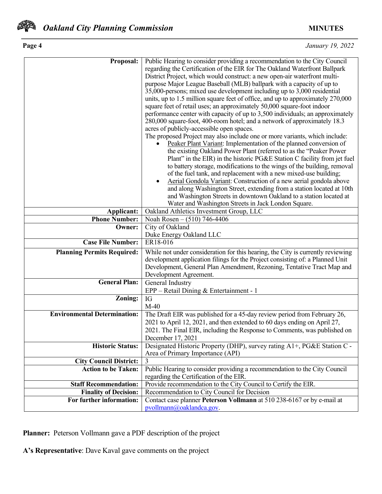

| Page 4 | January 19, 2022 |
|--------|------------------|
|        |                  |

| <b>Proposal:</b>                    | Public Hearing to consider providing a recommendation to the City Council                                                                            |
|-------------------------------------|------------------------------------------------------------------------------------------------------------------------------------------------------|
|                                     | regarding the Certification of the EIR for The Oakland Waterfront Ballpark                                                                           |
|                                     | District Project, which would construct: a new open-air waterfront multi-                                                                            |
|                                     | purpose Major League Baseball (MLB) ballpark with a capacity of up to                                                                                |
|                                     | 35,000-persons; mixed use development including up to 3,000 residential                                                                              |
|                                     | units, up to 1.5 million square feet of office, and up to approximately 270,000                                                                      |
|                                     | square feet of retail uses; an approximately 50,000 square-foot indoor                                                                               |
|                                     | performance center with capacity of up to 3,500 individuals; an approximately                                                                        |
|                                     | 280,000 square-foot, 400-room hotel; and a network of approximately 18.3<br>acres of publicly-accessible open spaces.                                |
|                                     | The proposed Project may also include one or more variants, which include:                                                                           |
|                                     | Peaker Plant Variant: Implementation of the planned conversion of                                                                                    |
|                                     | the existing Oakland Power Plant (referred to as the "Peaker Power                                                                                   |
|                                     | Plant" in the EIR) in the historic PG&E Station C facility from jet fuel                                                                             |
|                                     | to battery storage, modifications to the wings of the building, removal                                                                              |
|                                     | of the fuel tank, and replacement with a new mixed-use building;                                                                                     |
|                                     | Aerial Gondola Variant: Construction of a new aerial gondola above                                                                                   |
|                                     | and along Washington Street, extending from a station located at 10th                                                                                |
|                                     | and Washington Streets in downtown Oakland to a station located at                                                                                   |
|                                     | Water and Washington Streets in Jack London Square.                                                                                                  |
| Applicant:                          | Oakland Athletics Investment Group, LLC                                                                                                              |
| <b>Phone Number:</b>                | Noah Rosen – (510) 746-4406                                                                                                                          |
| Owner:                              | City of Oakland                                                                                                                                      |
|                                     | Duke Energy Oakland LLC                                                                                                                              |
| <b>Case File Number:</b>            | ER18-016                                                                                                                                             |
| <b>Planning Permits Required:</b>   | While not under consideration for this hearing, the City is currently reviewing                                                                      |
|                                     | development application filings for the Project consisting of: a Planned Unit                                                                        |
|                                     | Development, General Plan Amendment, Rezoning, Tentative Tract Map and                                                                               |
| <b>General Plan:</b>                | Development Agreement.                                                                                                                               |
|                                     | General Industry                                                                                                                                     |
|                                     | EPP - Retail Dining & Entertainment - 1                                                                                                              |
| Zoning:                             | IG<br>$M-40$                                                                                                                                         |
| <b>Environmental Determination:</b> |                                                                                                                                                      |
|                                     | The Draft EIR was published for a 45-day review period from February 26,<br>2021 to April 12, 2021, and then extended to 60 days ending on April 27, |
|                                     | 2021. The Final EIR, including the Response to Comments, was published on                                                                            |
|                                     | December 17, 2021                                                                                                                                    |
| <b>Historic Status:</b>             | Designated Historic Property (DHP), survey rating A1+, PG&E Station C -                                                                              |
|                                     | Area of Primary Importance (API)                                                                                                                     |
| <b>City Council District:</b>       | 3                                                                                                                                                    |
| <b>Action to be Taken:</b>          | Public Hearing to consider providing a recommendation to the City Council                                                                            |
|                                     | regarding the Certification of the EIR.                                                                                                              |
| <b>Staff Recommendation:</b>        | Provide recommendation to the City Council to Certify the EIR.                                                                                       |
| <b>Finality of Decision:</b>        | Recommendation to City Council for Decision                                                                                                          |
| For further information:            | Contact case planner Peterson Vollmann at 510 238-6167 or by e-mail at                                                                               |
|                                     | pvollmann@oaklandca.gov.                                                                                                                             |

**Planner:** Peterson Vollmann gave a PDF description of the project

**A's Representative**: Dave Kaval gave comments on the project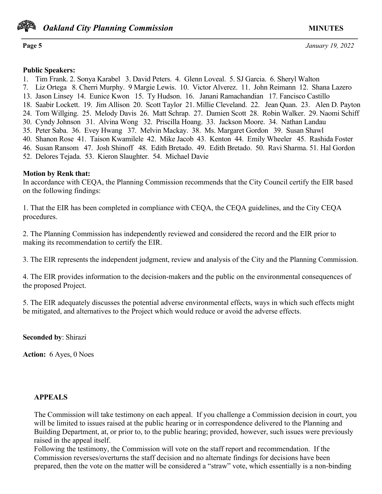

**Page 5** *January 19, 2022*

#### **Public Speakers:**

1. Tim Frank. 2. Sonya Karabel 3. David Peters. 4. Glenn Loveal. 5. SJ Garcia. 6. Sheryl Walton

- 7. Liz Ortega 8. Cherri Murphy. 9 Margie Lewis. 10. Victor Alverez. 11. John Reimann 12. Shana Lazero
- 13. Jason Linsey 14. Eunice Kwon 15. Ty Hudson. 16. Janani Ramachandian 17. Fancisco Castillo
- 18. Saabir Lockett. 19. Jim Allison 20. Scott Taylor 21. Millie Cleveland. 22. Jean Quan. 23. Alen D. Payton
- 24. Tom Willging. 25. Melody Davis 26. Matt Schrap. 27. Damien Scott 28. Robin Walker. 29. Naomi Schiff
- 30. Cyndy Johnson 31. Alvina Wong 32. Priscilla Hoang. 33. Jackson Moore. 34. Nathan Landau
- 35. Peter Saba. 36. Evey Hwang 37. Melvin Mackay. 38. Ms. Margaret Gordon 39. Susan Shawl
- 40. Shanon Rose 41. Taison Kwamilele 42. Mike Jacob 43. Kenton 44. Emily Wheeler 45. Rashida Foster
- 46. Susan Ransom 47. Josh Shinoff 48. Edith Bretado. 49. Edith Bretado. 50. Ravi Sharma. 51. Hal Gordon
- 52. Delores Tejada. 53. Kieron Slaughter. 54. Michael Davie

# **Motion by Renk that:**

In accordance with CEQA, the Planning Commission recommends that the City Council certify the EIR based on the following findings:

1. That the EIR has been completed in compliance with CEQA, the CEQA guidelines, and the City CEQA procedures.

2. The Planning Commission has independently reviewed and considered the record and the EIR prior to making its recommendation to certify the EIR.

3. The EIR represents the independent judgment, review and analysis of the City and the Planning Commission.

4. The EIR provides information to the decision-makers and the public on the environmental consequences of the proposed Project.

5. The EIR adequately discusses the potential adverse environmental effects, ways in which such effects might be mitigated, and alternatives to the Project which would reduce or avoid the adverse effects.

**Seconded by**: Shirazi

**Action:** 6 Ayes, 0 Noes

# **APPEALS**

The Commission will take testimony on each appeal. If you challenge a Commission decision in court, you will be limited to issues raised at the public hearing or in correspondence delivered to the Planning and Building Department, at, or prior to, to the public hearing; provided, however, such issues were previously raised in the appeal itself.

Following the testimony, the Commission will vote on the staff report and recommendation. If the Commission reverses/overturns the staff decision and no alternate findings for decisions have been prepared, then the vote on the matter will be considered a "straw" vote, which essentially is a non-binding